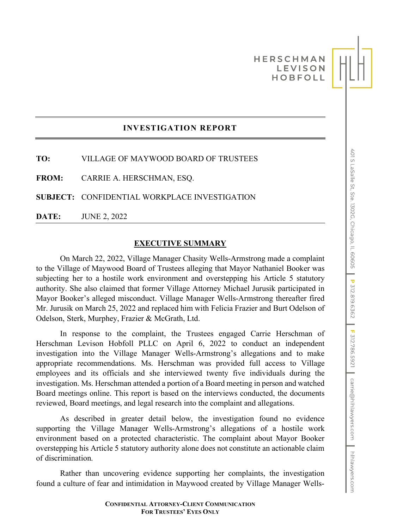# **HERSCHMAN LEVISON HOBFOLL**

# **INVESTIGATION REPORT**

**TO:** VILLAGE OF MAYWOOD BOARD OF TRUSTEES

**FROM:** CARRIE A. HERSCHMAN, ESQ.

**SUBJECT:** CONFIDENTIAL WORKPLACE INVESTIGATION

**DATE:** JUNE 2, 2022

#### **EXECUTIVE SUMMARY**

On March 22, 2022, Village Manager Chasity Wells-Armstrong made a complaint to the Village of Maywood Board of Trustees alleging that Mayor Nathaniel Booker was subjecting her to a hostile work environment and overstepping his Article 5 statutory authority. She also claimed that former Village Attorney Michael Jurusik participated in Mayor Booker's alleged misconduct. Village Manager Wells-Armstrong thereafter fired Mr. Jurusik on March 25, 2022 and replaced him with Felicia Frazier and Burt Odelson of Odelson, Sterk, Murphey, Frazier & McGrath, Ltd.

In response to the complaint, the Trustees engaged Carrie Herschman of Herschman Levison Hobfoll PLLC on April 6, 2022 to conduct an independent investigation into the Village Manager Wells-Armstrong's allegations and to make appropriate recommendations. Ms. Herschman was provided full access to Village employees and its officials and she interviewed twenty five individuals during the investigation. Ms. Herschman attended a portion of a Board meeting in person and watched Board meetings online. This report is based on the interviews conducted, the documents reviewed, Board meetings, and legal research into the complaint and allegations.

As described in greater detail below, the investigation found no evidence supporting the Village Manager Wells-Armstrong's allegations of a hostile work environment based on a protected characteristic. The complaint about Mayor Booker overstepping his Article 5 statutory authority alone does not constitute an actionable claim of discrimination.

Rather than uncovering evidence supporting her complaints, the investigation found a culture of fear and intimidation in Maywood created by Village Manager Wells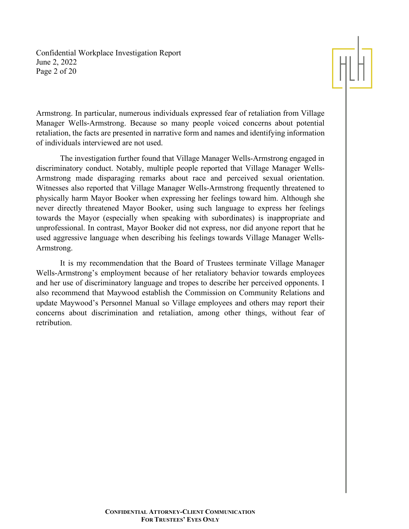Confidential Workplace Investigation Report June 2, 2022 Page 2 of 20



Armstrong. In particular, numerous individuals expressed fear of retaliation from Village Manager Wells-Armstrong. Because so many people voiced concerns about potential retaliation, the facts are presented in narrative form and names and identifying information of individuals interviewed are not used.

The investigation further found that Village Manager Wells-Armstrong engaged in discriminatory conduct. Notably, multiple people reported that Village Manager Wells-Armstrong made disparaging remarks about race and perceived sexual orientation. Witnesses also reported that Village Manager Wells-Armstrong frequently threatened to physically harm Mayor Booker when expressing her feelings toward him. Although she never directly threatened Mayor Booker, using such language to express her feelings towards the Mayor (especially when speaking with subordinates) is inappropriate and unprofessional. In contrast, Mayor Booker did not express, nor did anyone report that he used aggressive language when describing his feelings towards Village Manager Wells-Armstrong.

It is my recommendation that the Board of Trustees terminate Village Manager Wells-Armstrong's employment because of her retaliatory behavior towards employees and her use of discriminatory language and tropes to describe her perceived opponents. I also recommend that Maywood establish the Commission on Community Relations and update Maywood's Personnel Manual so Village employees and others may report their concerns about discrimination and retaliation, among other things, without fear of retribution.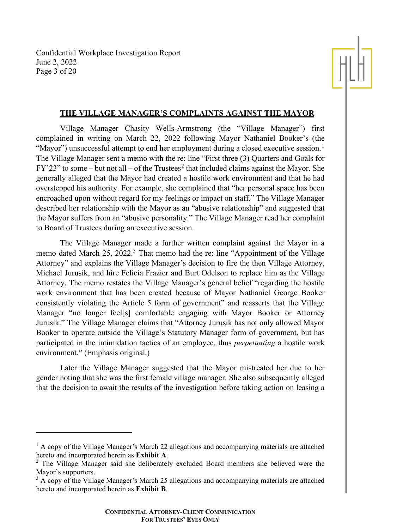Confidential Workplace Investigation Report June 2, 2022 Page 3 of 20



## **THE VILLAGE MANAGER'S COMPLAINTS AGAINST THE MAYOR**

Village Manager Chasity Wells-Armstrong (the "Village Manager") first complained in writing on March 22, 2022 following Mayor Nathaniel Booker's (the "Mayor") unsuccessful attempt to end her employment during a closed executive session.<sup>[1](#page-2-0)</sup> The Village Manager sent a memo with the re: line "First three (3) Quarters and Goals for  $FY'23"$  $FY'23"$  $FY'23"$  to some – but not all – of the Trustees<sup>2</sup> that included claims against the Mayor. She generally alleged that the Mayor had created a hostile work environment and that he had overstepped his authority. For example, she complained that "her personal space has been encroached upon without regard for my feelings or impact on staff." The Village Manager described her relationship with the Mayor as an "abusive relationship" and suggested that the Mayor suffers from an "abusive personality." The Village Manager read her complaint to Board of Trustees during an executive session.

The Village Manager made a further written complaint against the Mayor in a memo dated March 25, 2022.<sup>[3](#page-2-2)</sup> That memo had the re: line "Appointment of the Village" Attorney" and explains the Village Manager's decision to fire the then Village Attorney, Michael Jurusik, and hire Felicia Frazier and Burt Odelson to replace him as the Village Attorney. The memo restates the Village Manager's general belief "regarding the hostile work environment that has been created because of Mayor Nathaniel George Booker consistently violating the Article 5 form of government" and reasserts that the Village Manager "no longer feel[s] comfortable engaging with Mayor Booker or Attorney Jurusik." The Village Manager claims that "Attorney Jurusik has not only allowed Mayor Booker to operate outside the Village's Statutory Manager form of government, but has participated in the intimidation tactics of an employee, thus *perpetuating* a hostile work environment." (Emphasis original.)

Later the Village Manager suggested that the Mayor mistreated her due to her gender noting that she was the first female village manager. She also subsequently alleged that the decision to await the results of the investigation before taking action on leasing a

<span id="page-2-0"></span> $<sup>1</sup>$  A copy of the Village Manager's March 22 allegations and accompanying materials are attached</sup> hereto and incorporated herein as **Exhibit A**.

<span id="page-2-1"></span><sup>&</sup>lt;sup>2</sup> The Village Manager said she deliberately excluded Board members she believed were the Mayor's supporters.

<span id="page-2-2"></span><sup>&</sup>lt;sup>3</sup> A copy of the Village Manager's March 25 allegations and accompanying materials are attached hereto and incorporated herein as **Exhibit B**.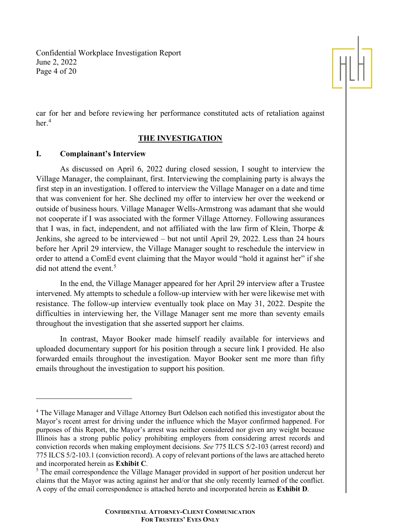Confidential Workplace Investigation Report June 2, 2022 Page 4 of 20



car for her and before reviewing her performance constituted acts of retaliation against her.<sup>[4](#page-3-0)</sup>

## **THE INVESTIGATION**

## **I. Complainant's Interview**

As discussed on April 6, 2022 during closed session, I sought to interview the Village Manager, the complainant, first. Interviewing the complaining party is always the first step in an investigation. I offered to interview the Village Manager on a date and time that was convenient for her. She declined my offer to interview her over the weekend or outside of business hours. Village Manager Wells-Armstrong was adamant that she would not cooperate if I was associated with the former Village Attorney. Following assurances that I was, in fact, independent, and not affiliated with the law firm of Klein, Thorpe & Jenkins, she agreed to be interviewed – but not until April 29, 2022. Less than 24 hours before her April 29 interview, the Village Manager sought to reschedule the interview in order to attend a ComEd event claiming that the Mayor would "hold it against her" if she did not attend the event.<sup>[5](#page-3-1)</sup>

In the end, the Village Manager appeared for her April 29 interview after a Trustee intervened. My attempts to schedule a follow-up interview with her were likewise met with resistance. The follow-up interview eventually took place on May 31, 2022. Despite the difficulties in interviewing her, the Village Manager sent me more than seventy emails throughout the investigation that she asserted support her claims.

In contrast, Mayor Booker made himself readily available for interviews and uploaded documentary support for his position through a secure link I provided. He also forwarded emails throughout the investigation. Mayor Booker sent me more than fifty emails throughout the investigation to support his position.

<span id="page-3-0"></span><sup>&</sup>lt;sup>4</sup> The Village Manager and Village Attorney Burt Odelson each notified this investigator about the Mayor's recent arrest for driving under the influence which the Mayor confirmed happened. For purposes of this Report, the Mayor's arrest was neither considered nor given any weight because Illinois has a strong public policy prohibiting employers from considering arrest records and conviction records when making employment decisions. *See* 775 ILCS 5/2-103 (arrest record) and 775 ILCS 5/2-103.1 (conviction record). A copy of relevant portions of the laws are attached hereto and incorporated herein as **Exhibit C**.

<span id="page-3-1"></span><sup>&</sup>lt;sup>5</sup> The email correspondence the Village Manager provided in support of her position undercut her claims that the Mayor was acting against her and/or that she only recently learned of the conflict. A copy of the email correspondence is attached hereto and incorporated herein as **Exhibit D**.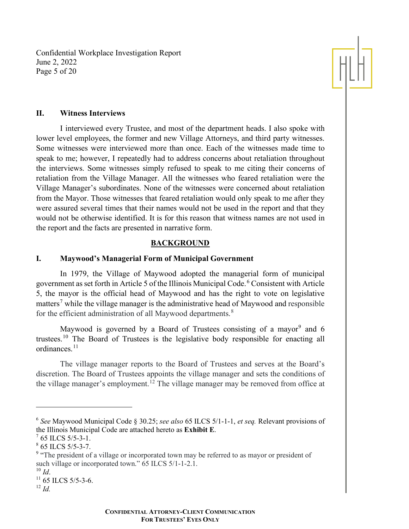Confidential Workplace Investigation Report June 2, 2022 Page 5 of 20



### **II. Witness Interviews**

I interviewed every Trustee, and most of the department heads. I also spoke with lower level employees, the former and new Village Attorneys, and third party witnesses. Some witnesses were interviewed more than once. Each of the witnesses made time to speak to me; however, I repeatedly had to address concerns about retaliation throughout the interviews. Some witnesses simply refused to speak to me citing their concerns of retaliation from the Village Manager. All the witnesses who feared retaliation were the Village Manager's subordinates. None of the witnesses were concerned about retaliation from the Mayor. Those witnesses that feared retaliation would only speak to me after they were assured several times that their names would not be used in the report and that they would not be otherwise identified. It is for this reason that witness names are not used in the report and the facts are presented in narrative form.

#### **BACKGROUND**

## **I. Maywood's Managerial Form of Municipal Government**

In 1979, the Village of Maywood adopted the managerial form of municipal government as set forth in Article 5 of the Illinois Municipal Code.[6](#page-4-0) Consistent with Article 5, the mayor is the official head of Maywood and has the right to vote on legislative matters<sup>[7](#page-4-1)</sup> while the village manager is the administrative head of Maywood and responsible for the efficient administration of all Maywood departments.<sup>[8](#page-4-2)</sup>

Maywood is governed by a Board of Trustees consisting of a mayor<sup>[9](#page-4-3)</sup> and 6 trustees.[10](#page-4-4) The Board of Trustees is the legislative body responsible for enacting all ordinances.<sup>[11](#page-4-5)</sup>

The village manager reports to the Board of Trustees and serves at the Board's discretion. The Board of Trustees appoints the village manager and sets the conditions of the village manager's employment.<sup>[12](#page-4-6)</sup> The village manager may be removed from office at

<span id="page-4-0"></span><sup>6</sup> *See* Maywood Municipal Code § 30.25; *see also* 65 ILCS 5/1-1-1, *et seq.* Relevant provisions of the Illinois Municipal Code are attached hereto as **Exhibit E**.

<span id="page-4-1"></span> $^7$  65 ILCS 5/5-3-1.

<span id="page-4-2"></span> $8$  65 ILCS 5/5-3-7.

<span id="page-4-3"></span><sup>&</sup>lt;sup>9</sup> "The president of a village or incorporated town may be referred to as mayor or president of such village or incorporated town."  $\overline{65}$  ILCS 5/1-1-2.1.<br><sup>10</sup> *Id.* 

<span id="page-4-4"></span>

<span id="page-4-5"></span><sup>&</sup>lt;sup>11</sup> 65 ILCS 5/5-3-6.

<span id="page-4-6"></span><sup>12</sup> *Id.*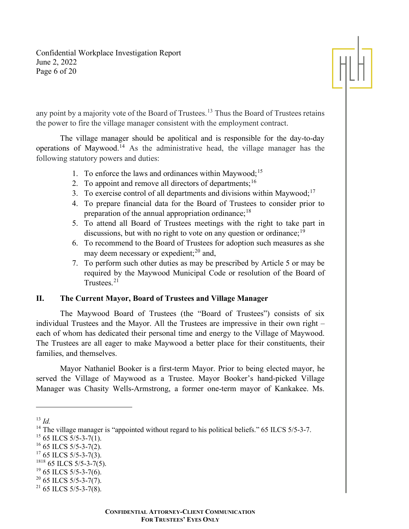Confidential Workplace Investigation Report June 2, 2022 Page 6 of 20



any point by a majority vote of the Board of Trustees.<sup>[13](#page-5-0)</sup> Thus the Board of Trustees retains the power to fire the village manager consistent with the employment contract.

The village manager should be apolitical and is responsible for the day-to-day operations of Maywood.<sup>[14](#page-5-1)</sup> As the administrative head, the village manager has the following statutory powers and duties:

- 1. To enforce the laws and ordinances within Maywood;<sup>[15](#page-5-2)</sup>
- 2. To appoint and remove all directors of departments;  $16$
- 3. To exercise control of all departments and divisions within Maywood;<sup>[17](#page-5-4)</sup>
- 4. To prepare financial data for the Board of Trustees to consider prior to preparation of the annual appropriation ordinance;  $^{18}$  $^{18}$  $^{18}$
- 5. To attend all Board of Trustees meetings with the right to take part in discussions, but with no right to vote on any question or ordinance;  $19$
- 6. To recommend to the Board of Trustees for adoption such measures as she may deem necessary or expedient; $^{20}$  $^{20}$  $^{20}$  and,
- 7. To perform such other duties as may be prescribed by Article 5 or may be required by the Maywood Municipal Code or resolution of the Board of Trustees. $21$

## **II. The Current Mayor, Board of Trustees and Village Manager**

The Maywood Board of Trustees (the "Board of Trustees") consists of six individual Trustees and the Mayor. All the Trustees are impressive in their own right – each of whom has dedicated their personal time and energy to the Village of Maywood. The Trustees are all eager to make Maywood a better place for their constituents, their families, and themselves.

Mayor Nathaniel Booker is a first-term Mayor. Prior to being elected mayor, he served the Village of Maywood as a Trustee. Mayor Booker's hand-picked Village Manager was Chasity Wells-Armstrong, a former one-term mayor of Kankakee. Ms.

<span id="page-5-0"></span><sup>13</sup> *Id.*

<span id="page-5-1"></span><sup>&</sup>lt;sup>14</sup> The village manager is "appointed without regard to his political beliefs."  $65$  ILCS  $5/5$ -3-7.

<span id="page-5-2"></span> $15$  65 ILCS 5/5-3-7(1).

<span id="page-5-3"></span> $16$  65 ILCS 5/5-3-7(2).

<span id="page-5-4"></span> $17$  65 ILCS 5/5-3-7(3).

<span id="page-5-5"></span> $1818$  65 ILCS 5/5-3-7(5).

<span id="page-5-6"></span> $19$  65 ILCS 5/5-3-7(6).

<span id="page-5-7"></span> $20\,65$  ILCS 5/5-3-7(7).

<span id="page-5-8"></span> $21$  65 ILCS 5/5-3-7(8).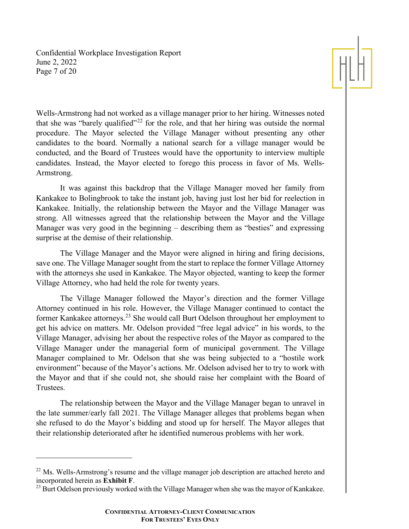Confidential Workplace Investigation Report June 2, 2022 Page 7 of 20



Wells-Armstrong had not worked as a village manager prior to her hiring. Witnesses noted that she was "barely qualified"<sup>[22](#page-6-0)</sup> for the role, and that her hiring was outside the normal procedure. The Mayor selected the Village Manager without presenting any other candidates to the board. Normally a national search for a village manager would be conducted, and the Board of Trustees would have the opportunity to interview multiple candidates. Instead, the Mayor elected to forego this process in favor of Ms. Wells-Armstrong.

It was against this backdrop that the Village Manager moved her family from Kankakee to Bolingbrook to take the instant job, having just lost her bid for reelection in Kankakee. Initially, the relationship between the Mayor and the Village Manager was strong. All witnesses agreed that the relationship between the Mayor and the Village Manager was very good in the beginning – describing them as "besties" and expressing surprise at the demise of their relationship.

The Village Manager and the Mayor were aligned in hiring and firing decisions, save one. The Village Manager sought from the start to replace the former Village Attorney with the attorneys she used in Kankakee. The Mayor objected, wanting to keep the former Village Attorney, who had held the role for twenty years.

The Village Manager followed the Mayor's direction and the former Village Attorney continued in his role. However, the Village Manager continued to contact the former Kankakee attorneys.[23](#page-6-1) She would call Burt Odelson throughout her employment to get his advice on matters. Mr. Odelson provided "free legal advice" in his words, to the Village Manager, advising her about the respective roles of the Mayor as compared to the Village Manager under the managerial form of municipal government. The Village Manager complained to Mr. Odelson that she was being subjected to a "hostile work environment" because of the Mayor's actions. Mr. Odelson advised her to try to work with the Mayor and that if she could not, she should raise her complaint with the Board of Trustees.

The relationship between the Mayor and the Village Manager began to unravel in the late summer/early fall 2021. The Village Manager alleges that problems began when she refused to do the Mayor's bidding and stood up for herself. The Mayor alleges that their relationship deteriorated after he identified numerous problems with her work.

<span id="page-6-0"></span> $^{22}$  Ms. Wells-Armstrong's resume and the village manager job description are attached hereto and incorporated herein as **Exhibit F**.<br><sup>23</sup> Burt Odelson previously worked with the Village Manager when she was the mayor of Kankakee.

<span id="page-6-1"></span>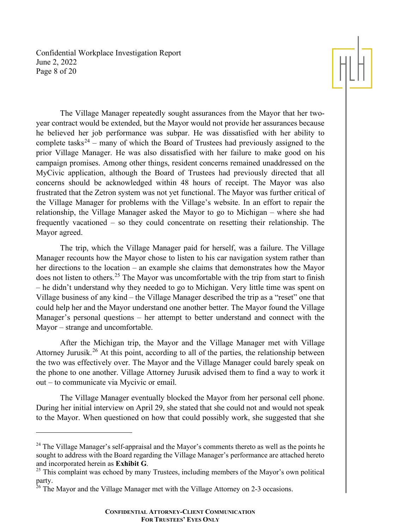Confidential Workplace Investigation Report June 2, 2022 Page 8 of 20



The Village Manager repeatedly sought assurances from the Mayor that her twoyear contract would be extended, but the Mayor would not provide her assurances because he believed her job performance was subpar. He was dissatisfied with her ability to complete tasks<sup>[24](#page-7-0)</sup> – many of which the Board of Trustees had previously assigned to the prior Village Manager. He was also dissatisfied with her failure to make good on his campaign promises. Among other things, resident concerns remained unaddressed on the MyCivic application, although the Board of Trustees had previously directed that all concerns should be acknowledged within 48 hours of receipt. The Mayor was also frustrated that the Zetron system was not yet functional. The Mayor was further critical of the Village Manager for problems with the Village's website. In an effort to repair the relationship, the Village Manager asked the Mayor to go to Michigan – where she had frequently vacationed – so they could concentrate on resetting their relationship. The Mayor agreed.

The trip, which the Village Manager paid for herself, was a failure. The Village Manager recounts how the Mayor chose to listen to his car navigation system rather than her directions to the location – an example she claims that demonstrates how the Mayor does not listen to others.<sup>[25](#page-7-1)</sup> The Mayor was uncomfortable with the trip from start to finish – he didn't understand why they needed to go to Michigan. Very little time was spent on Village business of any kind – the Village Manager described the trip as a "reset" one that could help her and the Mayor understand one another better. The Mayor found the Village Manager's personal questions – her attempt to better understand and connect with the Mayor – strange and uncomfortable.

After the Michigan trip, the Mayor and the Village Manager met with Village Attorney Jurusik.<sup>[26](#page-7-2)</sup> At this point, according to all of the parties, the relationship between the two was effectively over. The Mayor and the Village Manager could barely speak on the phone to one another. Village Attorney Jurusik advised them to find a way to work it out – to communicate via Mycivic or email.

The Village Manager eventually blocked the Mayor from her personal cell phone. During her initial interview on April 29, she stated that she could not and would not speak to the Mayor. When questioned on how that could possibly work, she suggested that she

<span id="page-7-0"></span> $^{24}$  The Village Manager's self-appraisal and the Mayor's comments thereto as well as the points he sought to address with the Board regarding the Village Manager's performance are attached hereto and incorporated herein as **Exhibit G**.

<span id="page-7-1"></span> $25$  This complaint was echoed by many Trustees, including members of the Mayor's own political party.

<span id="page-7-2"></span> $26$  The Mayor and the Village Manager met with the Village Attorney on 2-3 occasions.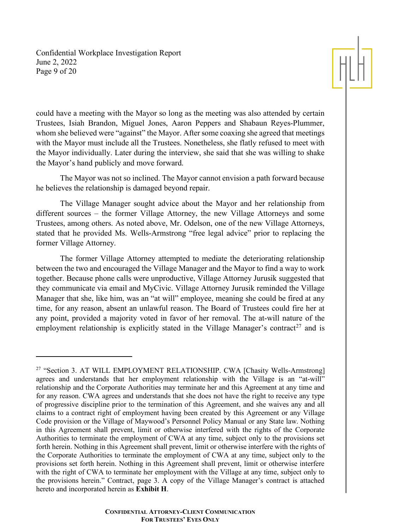Confidential Workplace Investigation Report June 2, 2022 Page 9 of 20



could have a meeting with the Mayor so long as the meeting was also attended by certain Trustees, Isiah Brandon, Miguel Jones, Aaron Peppers and Shabaun Reyes-Plummer, whom she believed were "against" the Mayor. After some coaxing she agreed that meetings with the Mayor must include all the Trustees. Nonetheless, she flatly refused to meet with the Mayor individually. Later during the interview, she said that she was willing to shake the Mayor's hand publicly and move forward.

The Mayor was not so inclined. The Mayor cannot envision a path forward because he believes the relationship is damaged beyond repair.

The Village Manager sought advice about the Mayor and her relationship from different sources – the former Village Attorney, the new Village Attorneys and some Trustees, among others. As noted above, Mr. Odelson, one of the new Village Attorneys, stated that he provided Ms. Wells-Armstrong "free legal advice" prior to replacing the former Village Attorney.

The former Village Attorney attempted to mediate the deteriorating relationship between the two and encouraged the Village Manager and the Mayor to find a way to work together. Because phone calls were unproductive, Village Attorney Jurusik suggested that they communicate via email and MyCivic. Village Attorney Jurusik reminded the Village Manager that she, like him, was an "at will" employee, meaning she could be fired at any time, for any reason, absent an unlawful reason. The Board of Trustees could fire her at any point, provided a majority voted in favor of her removal. The at-will nature of the employment relationship is explicitly stated in the Village Manager's contract<sup>[27](#page-8-0)</sup> and is

<span id="page-8-0"></span><sup>&</sup>lt;sup>27</sup> "Section 3. AT WILL EMPLOYMENT RELATIONSHIP. CWA [Chasity Wells-Armstrong] agrees and understands that her employment relationship with the Village is an "at-will" relationship and the Corporate Authorities may terminate her and this Agreement at any time and for any reason. CWA agrees and understands that she does not have the right to receive any type of progressive discipline prior to the termination of this Agreement, and she waives any and all claims to a contract right of employment having been created by this Agreement or any Village Code provision or the Village of Maywood's Personnel Policy Manual or any State law. Nothing in this Agreement shall prevent, limit or otherwise interfered with the rights of the Corporate Authorities to terminate the employment of CWA at any time, subject only to the provisions set forth herein. Nothing in this Agreement shall prevent, limit or otherwise interfere with the rights of the Corporate Authorities to terminate the employment of CWA at any time, subject only to the provisions set forth herein. Nothing in this Agreement shall prevent, limit or otherwise interfere with the right of CWA to terminate her employment with the Village at any time, subject only to the provisions herein." Contract, page 3. A copy of the Village Manager's contract is attached hereto and incorporated herein as **Exhibit H**.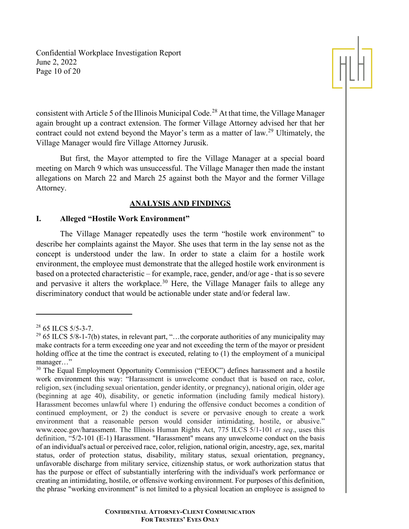Confidential Workplace Investigation Report June 2, 2022 Page 10 of 20



consistent with Article 5 of the Illinois Municipal Code.<sup>[28](#page-9-0)</sup> At that time, the Village Manager again brought up a contract extension. The former Village Attorney advised her that her contract could not extend beyond the Mayor's term as a matter of law.<sup>[29](#page-9-1)</sup> Ultimately, the Village Manager would fire Village Attorney Jurusik.

But first, the Mayor attempted to fire the Village Manager at a special board meeting on March 9 which was unsuccessful. The Village Manager then made the instant allegations on March 22 and March 25 against both the Mayor and the former Village Attorney.

## **ANALYSIS AND FINDINGS**

## **I. Alleged "Hostile Work Environment"**

The Village Manager repeatedly uses the term "hostile work environment" to describe her complaints against the Mayor. She uses that term in the lay sense not as the concept is understood under the law. In order to state a claim for a hostile work environment, the employee must demonstrate that the alleged hostile work environment is based on a protected characteristic – for example, race, gender, and/or age - that is so severe and pervasive it alters the workplace.<sup>[30](#page-9-2)</sup> Here, the Village Manager fails to allege any discriminatory conduct that would be actionable under state and/or federal law.

<span id="page-9-0"></span> $28$  65 ILCS 5/5-3-7.

<span id="page-9-1"></span> $^{29}$  65 ILCS 5/8-1-7(b) states, in relevant part, "...the corporate authorities of any municipality may make contracts for a term exceeding one year and not exceeding the term of the mayor or president holding office at the time the contract is executed, relating to (1) the employment of a municipal manager…"

<span id="page-9-2"></span><sup>&</sup>lt;sup>30</sup> The Equal Employment Opportunity Commission ("EEOC") defines harassment and a hostile work environment this way: "Harassment is unwelcome conduct that is based on race, color, religion, sex (including sexual orientation, gender identity, or pregnancy), national origin, older age (beginning at age 40), disability, or genetic information (including family medical history). Harassment becomes unlawful where 1) enduring the offensive conduct becomes a condition of continued employment, or 2) the conduct is severe or pervasive enough to create a work environment that a reasonable person would consider intimidating, hostile, or abusive." www.eeoc.gov/harassment. The Illinois Human Rights Act, 775 ILCS 5/1-101 *et seq*., uses this definition, "5/2-101 (E-1) Harassment. "Harassment" means any unwelcome conduct on the basis of an individual's actual or perceived race, color, religion, national origin, ancestry, age, sex, marital status, order of protection status, disability, military status, sexual orientation, pregnancy, unfavorable discharge from military service, citizenship status, or work authorization status that has the purpose or effect of substantially interfering with the individual's work performance or creating an intimidating, hostile, or offensive working environment. For purposes of this definition, the phrase "working environment" is not limited to a physical location an employee is assigned to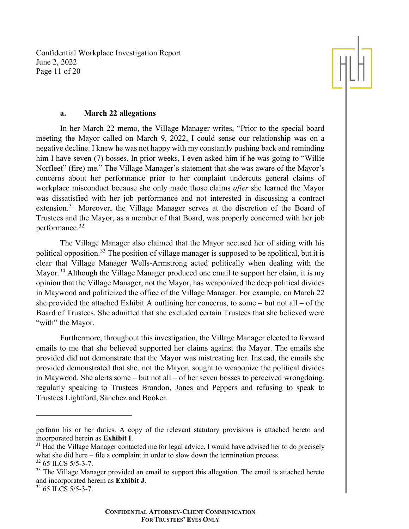Confidential Workplace Investigation Report June 2, 2022 Page 11 of 20



## **a. March 22 allegations**

In her March 22 memo, the Village Manager writes, "Prior to the special board meeting the Mayor called on March 9, 2022, I could sense our relationship was on a negative decline. I knew he was not happy with my constantly pushing back and reminding him I have seven (7) bosses. In prior weeks, I even asked him if he was going to "Willie" Norfleet" (fire) me." The Village Manager's statement that she was aware of the Mayor's concerns about her performance prior to her complaint undercuts general claims of workplace misconduct because she only made those claims *after* she learned the Mayor was dissatisfied with her job performance and not interested in discussing a contract extension.[31](#page-10-0) Moreover, the Village Manager serves at the discretion of the Board of Trustees and the Mayor, as a member of that Board, was properly concerned with her job performance.[32](#page-10-1)

The Village Manager also claimed that the Mayor accused her of siding with his political opposition.<sup>[33](#page-10-2)</sup> The position of village manager is supposed to be apolitical, but it is clear that Village Manager Wells-Armstrong acted politically when dealing with the Mayor.<sup>[34](#page-10-3)</sup> Although the Village Manager produced one email to support her claim, it is my opinion that the Village Manager, not the Mayor, has weaponized the deep political divides in Maywood and politicized the office of the Village Manager. For example, on March 22 she provided the attached Exhibit A outlining her concerns, to some – but not all – of the Board of Trustees. She admitted that she excluded certain Trustees that she believed were "with" the Mayor.

Furthermore, throughout this investigation, the Village Manager elected to forward emails to me that she believed supported her claims against the Mayor. The emails she provided did not demonstrate that the Mayor was mistreating her. Instead, the emails she provided demonstrated that she, not the Mayor, sought to weaponize the political divides in Maywood. She alerts some – but not all – of her seven bosses to perceived wrongdoing, regularly speaking to Trustees Brandon, Jones and Peppers and refusing to speak to Trustees Lightford, Sanchez and Booker.

perform his or her duties. A copy of the relevant statutory provisions is attached hereto and incorporated herein as **Exhibit I**.<br><sup>31</sup> Had the Village Manager contacted me for legal advice, I would have advised her to do preciselv

<span id="page-10-0"></span>what she did here – file a complaint in order to slow down the termination process.

<span id="page-10-1"></span><sup>32</sup> 65 ILCS 5/5-3-7.

<span id="page-10-2"></span><sup>&</sup>lt;sup>33</sup> The Village Manager provided an email to support this allegation. The email is attached hereto and incorporated herein as **Exhibit J**.

<span id="page-10-3"></span><sup>&</sup>lt;sup>34</sup> 65 ILCS 5/5-3-7.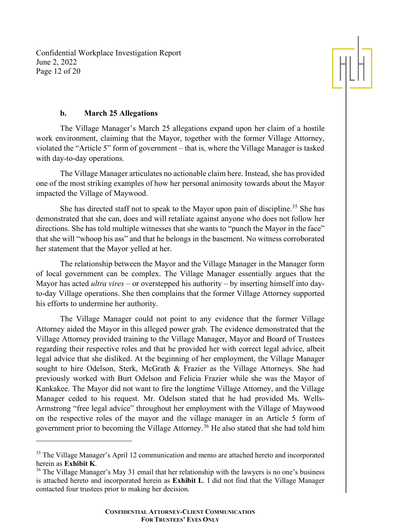Confidential Workplace Investigation Report June 2, 2022 Page 12 of 20



## **b. March 25 Allegations**

The Village Manager's March 25 allegations expand upon her claim of a hostile work environment, claiming that the Mayor, together with the former Village Attorney, violated the "Article 5" form of government – that is, where the Village Manager is tasked with day-to-day operations.

The Village Manager articulates no actionable claim here. Instead, she has provided one of the most striking examples of how her personal animosity towards about the Mayor impacted the Village of Maywood.

She has directed staff not to speak to the Mayor upon pain of discipline.<sup>[35](#page-11-0)</sup> She has demonstrated that she can, does and will retaliate against anyone who does not follow her directions. She has told multiple witnesses that she wants to "punch the Mayor in the face" that she will "whoop his ass" and that he belongs in the basement. No witness corroborated her statement that the Mayor yelled at her.

The relationship between the Mayor and the Village Manager in the Manager form of local government can be complex. The Village Manager essentially argues that the Mayor has acted *ultra vires* – or overstepped his authority – by inserting himself into dayto-day Village operations. She then complains that the former Village Attorney supported his efforts to undermine her authority.

The Village Manager could not point to any evidence that the former Village Attorney aided the Mayor in this alleged power grab. The evidence demonstrated that the Village Attorney provided training to the Village Manager, Mayor and Board of Trustees regarding their respective roles and that he provided her with correct legal advice, albeit legal advice that she disliked. At the beginning of her employment, the Village Manager sought to hire Odelson, Sterk, McGrath & Frazier as the Village Attorneys. She had previously worked with Burt Odelson and Felicia Frazier while she was the Mayor of Kankakee. The Mayor did not want to fire the longtime Village Attorney, and the Village Manager ceded to his request. Mr. Odelson stated that he had provided Ms. Wells-Armstrong "free legal advice" throughout her employment with the Village of Maywood on the respective roles of the mayor and the village manager in an Article 5 form of government prior to becoming the Village Attorney.[36](#page-11-1) He also stated that she had told him

<span id="page-11-0"></span><sup>&</sup>lt;sup>35</sup> The Village Manager's April 12 communication and memo are attached hereto and incorporated herein as **Exhibit K**.

<span id="page-11-1"></span><sup>&</sup>lt;sup>36</sup> The Village Manager's May 31 email that her relationship with the lawyers is no one's business is attached hereto and incorporated herein as **Exhibit L**. I did not find that the Village Manager contacted four trustees prior to making her decision.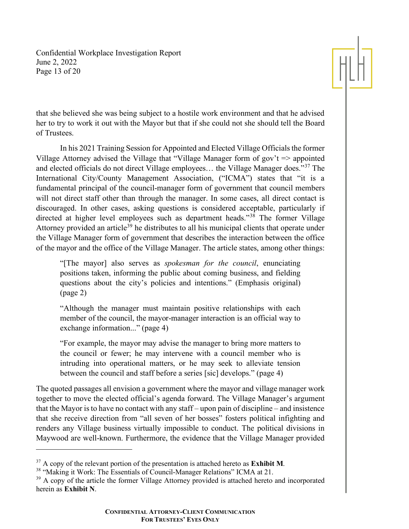Confidential Workplace Investigation Report June 2, 2022 Page 13 of 20



that she believed she was being subject to a hostile work environment and that he advised her to try to work it out with the Mayor but that if she could not she should tell the Board of Trustees.

In his 2021 Training Session for Appointed and Elected Village Officials the former Village Attorney advised the Village that "Village Manager form of gov't  $\Rightarrow$  appointed and elected officials do not direct Village employees… the Village Manager does."[37](#page-12-0) The International City/County Management Association, ("ICMA") states that "it is a fundamental principal of the council-manager form of government that council members will not direct staff other than through the manager. In some cases, all direct contact is discouraged. In other cases, asking questions is considered acceptable, particularly if directed at higher level employees such as department heads."<sup>[38](#page-12-1)</sup> The former Village Attorney provided an article<sup>[39](#page-12-2)</sup> he distributes to all his municipal clients that operate under the Village Manager form of government that describes the interaction between the office of the mayor and the office of the Village Manager. The article states, among other things:

"[The mayor] also serves as *spokesman for the council*, enunciating positions taken, informing the public about coming business, and fielding questions about the city's policies and intentions." (Emphasis original) (page 2)

"Although the manager must maintain positive relationships with each member of the council, the mayor-manager interaction is an official way to exchange information..." (page 4)

"For example, the mayor may advise the manager to bring more matters to the council or fewer; he may intervene with a council member who is intruding into operational matters, or he may seek to alleviate tension between the council and staff before a series [sic] develops." (page 4)

The quoted passages all envision a government where the mayor and village manager work together to move the elected official's agenda forward. The Village Manager's argument that the Mayor is to have no contact with any staff – upon pain of discipline – and insistence that she receive direction from "all seven of her bosses" fosters political infighting and renders any Village business virtually impossible to conduct. The political divisions in Maywood are well-known. Furthermore, the evidence that the Village Manager provided

<span id="page-12-0"></span><sup>37</sup> A copy of the relevant portion of the presentation is attached hereto as **Exhibit M**.

<span id="page-12-1"></span><sup>&</sup>lt;sup>38</sup> "Making it Work: The Essentials of Council-Manager Relations" ICMA at 21.

<span id="page-12-2"></span><sup>&</sup>lt;sup>39</sup> A copy of the article the former Village Attorney provided is attached hereto and incorporated herein as **Exhibit N**.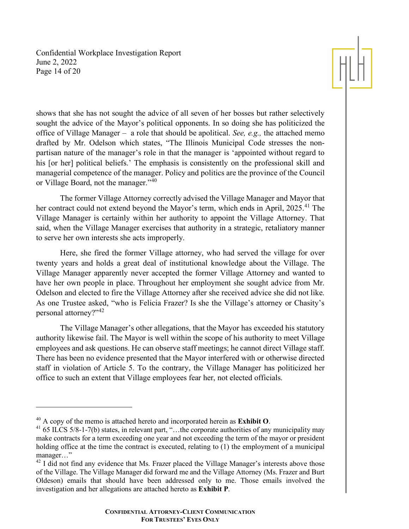Confidential Workplace Investigation Report June 2, 2022 Page 14 of 20



shows that she has not sought the advice of all seven of her bosses but rather selectively sought the advice of the Mayor's political opponents. In so doing she has politicized the office of Village Manager – a role that should be apolitical. *See, e.g.,* the attached memo drafted by Mr. Odelson which states, "The Illinois Municipal Code stresses the nonpartisan nature of the manager's role in that the manager is 'appointed without regard to his [or her] political beliefs.' The emphasis is consistently on the professional skill and managerial competence of the manager. Policy and politics are the province of the Council or Village Board, not the manager."[40](#page-13-0)

The former Village Attorney correctly advised the Village Manager and Mayor that her contract could not extend beyond the Mayor's term, which ends in April, 2025.<sup>[41](#page-13-1)</sup> The Village Manager is certainly within her authority to appoint the Village Attorney. That said, when the Village Manager exercises that authority in a strategic, retaliatory manner to serve her own interests she acts improperly.

Here, she fired the former Village attorney, who had served the village for over twenty years and holds a great deal of institutional knowledge about the Village. The Village Manager apparently never accepted the former Village Attorney and wanted to have her own people in place. Throughout her employment she sought advice from Mr. Odelson and elected to fire the Village Attorney after she received advice she did not like. As one Trustee asked, "who is Felicia Frazer? Is she the Village's attorney or Chasity's personal attorney?"[42](#page-13-2)

The Village Manager's other allegations, that the Mayor has exceeded his statutory authority likewise fail. The Mayor is well within the scope of his authority to meet Village employees and ask questions. He can observe staff meetings; he cannot direct Village staff. There has been no evidence presented that the Mayor interfered with or otherwise directed staff in violation of Article 5. To the contrary, the Village Manager has politicized her office to such an extent that Village employees fear her, not elected officials.

<span id="page-13-0"></span><sup>40</sup> A copy of the memo is attached hereto and incorporated herein as **Exhibit O**.

<span id="page-13-1"></span><sup>&</sup>lt;sup>41</sup> 65 ILCS 5/8-1-7(b) states, in relevant part, "...the corporate authorities of any municipality may make contracts for a term exceeding one year and not exceeding the term of the mayor or president holding office at the time the contract is executed, relating to (1) the employment of a municipal manager…"

<span id="page-13-2"></span> $^{42}$  I did not find any evidence that Ms. Frazer placed the Village Manager's interests above those of the Village. The Village Manager did forward me and the Village Attorney (Ms. Frazer and Burt Oldeson) emails that should have been addressed only to me. Those emails involved the investigation and her allegations are attached hereto as **Exhibit P**.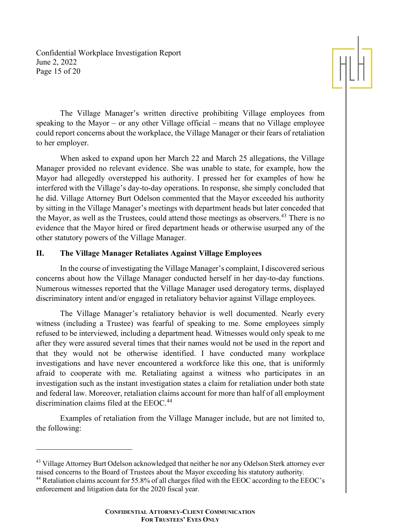Confidential Workplace Investigation Report June 2, 2022 Page 15 of 20



The Village Manager's written directive prohibiting Village employees from speaking to the Mayor – or any other Village official – means that no Village employee could report concerns about the workplace, the Village Manager or their fears of retaliation to her employer.

When asked to expand upon her March 22 and March 25 allegations, the Village Manager provided no relevant evidence. She was unable to state, for example, how the Mayor had allegedly overstepped his authority. I pressed her for examples of how he interfered with the Village's day-to-day operations. In response, she simply concluded that he did. Village Attorney Burt Odelson commented that the Mayor exceeded his authority by sitting in the Village Manager's meetings with department heads but later conceded that the Mayor, as well as the Trustees, could attend those meetings as observers.<sup>[43](#page-14-0)</sup> There is no evidence that the Mayor hired or fired department heads or otherwise usurped any of the other statutory powers of the Village Manager.

# **II. The Village Manager Retaliates Against Village Employees**

In the course of investigating the Village Manager's complaint, I discovered serious concerns about how the Village Manager conducted herself in her day-to-day functions. Numerous witnesses reported that the Village Manager used derogatory terms, displayed discriminatory intent and/or engaged in retaliatory behavior against Village employees.

The Village Manager's retaliatory behavior is well documented. Nearly every witness (including a Trustee) was fearful of speaking to me. Some employees simply refused to be interviewed, including a department head. Witnesses would only speak to me after they were assured several times that their names would not be used in the report and that they would not be otherwise identified. I have conducted many workplace investigations and have never encountered a workforce like this one, that is uniformly afraid to cooperate with me. Retaliating against a witness who participates in an investigation such as the instant investigation states a claim for retaliation under both state and federal law. Moreover, retaliation claims account for more than half of all employment discrimination claims filed at the EEOC.<sup>[44](#page-14-1)</sup>

Examples of retaliation from the Village Manager include, but are not limited to, the following:

<span id="page-14-0"></span><sup>&</sup>lt;sup>43</sup> Village Attorney Burt Odelson acknowledged that neither he nor any Odelson Sterk attorney ever raised concerns to the Board of Trustees about the Mayor exceeding his statutory authority.

<span id="page-14-1"></span><sup>&</sup>lt;sup>44</sup> Retaliation claims account for 55.8% of all charges filed with the EEOC according to the EEOC's enforcement and litigation data for the 2020 fiscal year.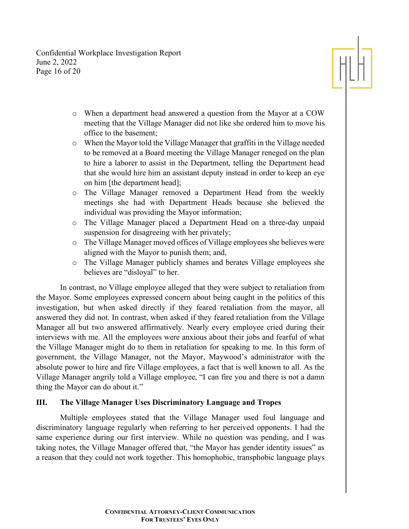Confidential Workplace Investigation Report June 2, 2022 Page 16 of 20



- o When a department head answered a question from the Mayor at a COW meeting that the Village Manager did not like she ordered him to move his office to the basement;
- o When the Mayor told the Village Manager that graffiti in the Village needed to be removed at a Board meeting the Village Manager reneged on the plan to hire a laborer to assist in the Department, telling the Department head that she would hire him an assistant deputy instead in order to keep an eye on him [the department head];
- o The Village Manager removed a Department Head from the weekly meetings she had with Department Heads because she believed the individual was providing the Mayor information;
- o The Village Manager placed a Department Head on a three-day unpaid suspension for disagreeing with her privately;
- o The Village Manager moved offices of Village employees she believes were aligned with the Mayor to punish them; and,
- o The Village Manager publicly shames and berates Village employees she believes are "disloyal" to her.

In contrast, no Village employee alleged that they were subject to retaliation from the Mayor. Some employees expressed concern about being caught in the politics of this investigation, but when asked directly if they feared retaliation from the mayor, all answered they did not. In contrast, when asked if they feared retaliation from the Village Manager all but two answered affirmatively. Nearly every employee cried during their interviews with me. All the employees were anxious about their jobs and fearful of what the Village Manager might do to them in retaliation for speaking to me. In this form of government, the Village Manager, not the Mayor, Maywood's administrator with the absolute power to hire and fire Village employees, a fact that is well known to all. As the Village Manager angrily told a Village employee, "I can fire you and there is not a damn thing the Mayor can do about it."

# **III. The Village Manager Uses Discriminatory Language and Tropes**

Multiple employees stated that the Village Manager used foul language and discriminatory language regularly when referring to her perceived opponents. I had the same experience during our first interview. While no question was pending, and I was taking notes, the Village Manager offered that, "the Mayor has gender identity issues" as a reason that they could not work together. This homophobic, transphobic language plays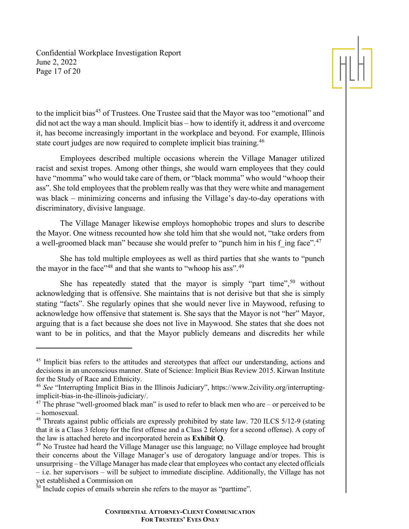Confidential Workplace Investigation Report June 2, 2022 Page 17 of 20



to the implicit bias<sup>[45](#page-16-0)</sup> of Trustees. One Trustee said that the Mayor was too "emotional" and did not act the way a man should. Implicit bias – how to identify it, address it and overcome it, has become increasingly important in the workplace and beyond. For example, Illinois state court judges are now required to complete implicit bias training.<sup>[46](#page-16-1)</sup>

Employees described multiple occasions wherein the Village Manager utilized racist and sexist tropes. Among other things, she would warn employees that they could have "momma" who would take care of them, or "black momma" who would "whoop their ass". She told employees that the problem really was that they were white and management was black – minimizing concerns and infusing the Village's day-to-day operations with discriminatory, divisive language.

The Village Manager likewise employs homophobic tropes and slurs to describe the Mayor. One witness recounted how she told him that she would not, "take orders from a well-groomed black man" because she would prefer to "punch him in his f ing face".<sup>[47](#page-16-2)</sup>

She has told multiple employees as well as third parties that she wants to "punch the mayor in the face"<sup>[48](#page-16-3)</sup> and that she wants to "whoop his ass".<sup>[49](#page-16-4)</sup>

She has repeatedly stated that the mayor is simply "part time",  $50$  without acknowledging that is offensive. She maintains that is not derisive but that she is simply stating "facts". She regularly opines that she would never live in Maywood, refusing to acknowledge how offensive that statement is. She says that the Mayor is not "her" Mayor, arguing that is a fact because she does not live in Maywood. She states that she does not want to be in politics, and that the Mayor publicly demeans and discredits her while

<span id="page-16-0"></span><sup>&</sup>lt;sup>45</sup> Implicit bias refers to the attitudes and stereotypes that affect our understanding, actions and decisions in an unconscious manner. State of Science: Implicit Bias Review 2015. Kirwan Institute for the Study of Race and Ethnicity.

<span id="page-16-1"></span><sup>46</sup> *See* "Interrupting Implicit Bias in the Illinois Judiciary", https://www.2civility.org/interruptingimplicit-bias-in-the-illinois-judiciary/.

<span id="page-16-2"></span> $47$  The phrase "well-groomed black man" is used to refer to black men who are – or perceived to be – homosexual.

<span id="page-16-3"></span><sup>&</sup>lt;sup>48</sup> Threats against public officials are expressly prohibited by state law. 720 ILCS 5/12-9 (stating that it is a Class 3 felony for the first offense and a Class 2 felony for a second offense). A copy of the law is attached hereto and incorporated herein as **Exhibit Q**.

<span id="page-16-4"></span><sup>&</sup>lt;sup>49</sup> No Trustee had heard the Village Manager use this language; no Village employee had brought their concerns about the Village Manager's use of derogatory language and/or tropes. This is unsurprising – the Village Manager has made clear that employees who contact any elected officials – i.e. her supervisors – will be subject to immediate discipline. Additionally, the Village has not yet established a Commission on

<span id="page-16-5"></span><sup>&</sup>lt;sup>50</sup> Include copies of emails wherein she refers to the mayor as "parttime".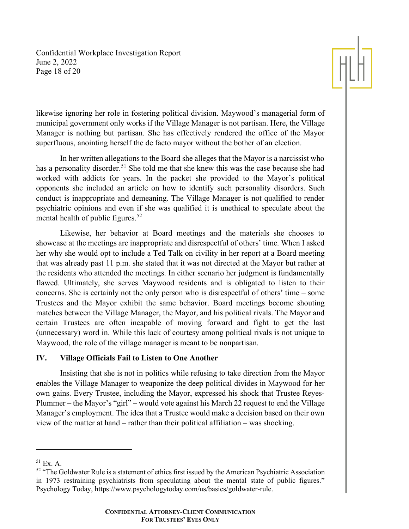Confidential Workplace Investigation Report June 2, 2022 Page 18 of 20



likewise ignoring her role in fostering political division. Maywood's managerial form of municipal government only works if the Village Manager is not partisan. Here, the Village Manager is nothing but partisan. She has effectively rendered the office of the Mayor superfluous, anointing herself the de facto mayor without the bother of an election.

In her written allegations to the Board she alleges that the Mayor is a narcissist who has a personality disorder.<sup>[51](#page-17-0)</sup> She told me that she knew this was the case because she had worked with addicts for years. In the packet she provided to the Mayor's political opponents she included an article on how to identify such personality disorders. Such conduct is inappropriate and demeaning. The Village Manager is not qualified to render psychiatric opinions and even if she was qualified it is unethical to speculate about the mental health of public figures.<sup>[52](#page-17-1)</sup>

Likewise, her behavior at Board meetings and the materials she chooses to showcase at the meetings are inappropriate and disrespectful of others' time. When I asked her why she would opt to include a Ted Talk on civility in her report at a Board meeting that was already past 11 p.m. she stated that it was not directed at the Mayor but rather at the residents who attended the meetings. In either scenario her judgment is fundamentally flawed. Ultimately, she serves Maywood residents and is obligated to listen to their concerns. She is certainly not the only person who is disrespectful of others' time – some Trustees and the Mayor exhibit the same behavior. Board meetings become shouting matches between the Village Manager, the Mayor, and his political rivals. The Mayor and certain Trustees are often incapable of moving forward and fight to get the last (unnecessary) word in. While this lack of courtesy among political rivals is not unique to Maywood, the role of the village manager is meant to be nonpartisan.

## **IV. Village Officials Fail to Listen to One Another**

Insisting that she is not in politics while refusing to take direction from the Mayor enables the Village Manager to weaponize the deep political divides in Maywood for her own gains. Every Trustee, including the Mayor, expressed his shock that Trustee Reyes-Plummer – the Mayor's "girl" – would vote against his March 22 request to end the Village Manager's employment. The idea that a Trustee would make a decision based on their own view of the matter at hand – rather than their political affiliation – was shocking.

<span id="page-17-0"></span> $51$  Ex. A.

<span id="page-17-1"></span> $52$  "The Goldwater Rule is a statement of ethics first issued by the American Psychiatric Association in 1973 restraining psychiatrists from speculating about the mental state of public figures." Psychology Today, https://www.psychologytoday.com/us/basics/goldwater-rule.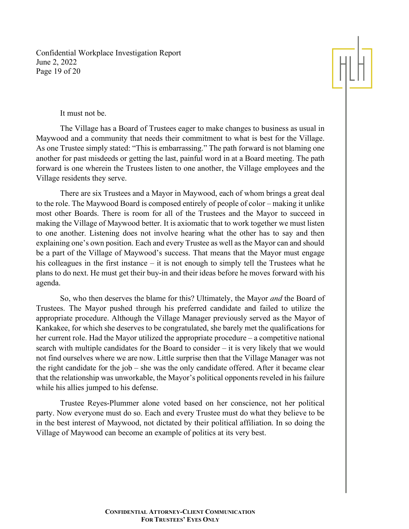Confidential Workplace Investigation Report June 2, 2022 Page 19 of 20

## It must not be.

The Village has a Board of Trustees eager to make changes to business as usual in Maywood and a community that needs their commitment to what is best for the Village. As one Trustee simply stated: "This is embarrassing." The path forward is not blaming one another for past misdeeds or getting the last, painful word in at a Board meeting. The path forward is one wherein the Trustees listen to one another, the Village employees and the Village residents they serve.

There are six Trustees and a Mayor in Maywood, each of whom brings a great deal to the role. The Maywood Board is composed entirely of people of color – making it unlike most other Boards. There is room for all of the Trustees and the Mayor to succeed in making the Village of Maywood better. It is axiomatic that to work together we must listen to one another. Listening does not involve hearing what the other has to say and then explaining one's own position. Each and every Trustee as well as the Mayor can and should be a part of the Village of Maywood's success. That means that the Mayor must engage his colleagues in the first instance – it is not enough to simply tell the Trustees what he plans to do next. He must get their buy-in and their ideas before he moves forward with his agenda.

So, who then deserves the blame for this? Ultimately, the Mayor *and* the Board of Trustees. The Mayor pushed through his preferred candidate and failed to utilize the appropriate procedure. Although the Village Manager previously served as the Mayor of Kankakee, for which she deserves to be congratulated, she barely met the qualifications for her current role. Had the Mayor utilized the appropriate procedure – a competitive national search with multiple candidates for the Board to consider – it is very likely that we would not find ourselves where we are now. Little surprise then that the Village Manager was not the right candidate for the job – she was the only candidate offered. After it became clear that the relationship was unworkable, the Mayor's political opponents reveled in his failure while his allies jumped to his defense.

Trustee Reyes-Plummer alone voted based on her conscience, not her political party. Now everyone must do so. Each and every Trustee must do what they believe to be in the best interest of Maywood, not dictated by their political affiliation. In so doing the Village of Maywood can become an example of politics at its very best.